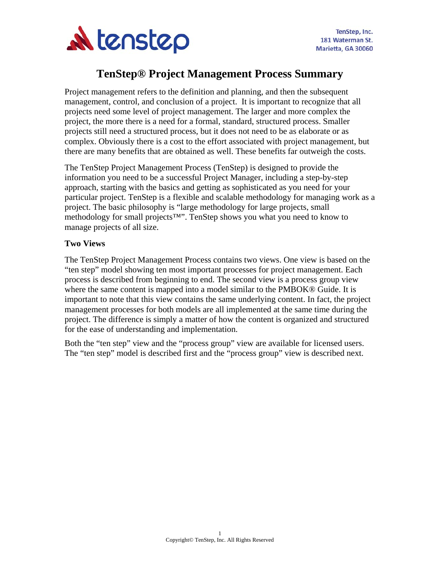

# **TenStep® Project Management Process Summary**

Project management refers to the definition and planning, and then the subsequent management, control, and conclusion of a project. It is important to recognize that all projects need some level of project management. The larger and more complex the project, the more there is a need for a formal, standard, structured process. Smaller projects still need a structured process, but it does not need to be as elaborate or as complex. Obviously there is a cost to the effort associated with project management, but there are many benefits that are obtained as well. These benefits far outweigh the costs.

The TenStep Project Management Process (TenStep) is designed to provide the information you need to be a successful Project Manager, including a step-by-step approach, starting with the basics and getting as sophisticated as you need for your particular project. TenStep is a flexible and scalable methodology for managing work as a project. The basic philosophy is "large methodology for large projects, small methodology for small projects™". TenStep shows you what you need to know to manage projects of all size.

#### **Two Views**

The TenStep Project Management Process contains two views. One view is based on the "ten step" model showing ten most important processes for project management. Each process is described from beginning to end. The second view is a process group view where the same content is mapped into a model similar to the PMBOK<sup>®</sup> Guide. It is important to note that this view contains the same underlying content. In fact, the project management processes for both models are all implemented at the same time during the project. The difference is simply a matter of how the content is organized and structured for the ease of understanding and implementation.

Both the "ten step" view and the "process group" view are available for licensed users. The "ten step" model is described first and the "process group" view is described next.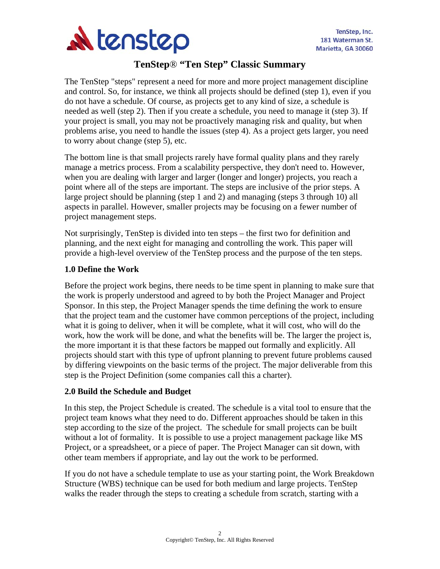

# **TenStep**® **"Ten Step" Classic Summary**

The TenStep "steps" represent a need for more and more project management discipline and control. So, for instance, we think all projects should be defined (step 1), even if you do not have a schedule. Of course, as projects get to any kind of size, a schedule is needed as well (step 2). Then if you create a schedule, you need to manage it (step 3). If your project is small, you may not be proactively managing risk and quality, but when problems arise, you need to handle the issues (step 4). As a project gets larger, you need to worry about change (step 5), etc.

The bottom line is that small projects rarely have formal quality plans and they rarely manage a metrics process. From a scalability perspective, they don't need to. However, when you are dealing with larger and larger (longer and longer) projects, you reach a point where all of the steps are important. The steps are inclusive of the prior steps. A large project should be planning (step 1 and 2) and managing (steps 3 through 10) all aspects in parallel. However, smaller projects may be focusing on a fewer number of project management steps.

Not surprisingly, TenStep is divided into ten steps – the first two for definition and planning, and the next eight for managing and controlling the work. This paper will provide a high-level overview of the TenStep process and the purpose of the ten steps.

# **1.0 Define the Work**

Before the project work begins, there needs to be time spent in planning to make sure that the work is properly understood and agreed to by both the Project Manager and Project Sponsor. In this step, the Project Manager spends the time defining the work to ensure that the project team and the customer have common perceptions of the project, including what it is going to deliver, when it will be complete, what it will cost, who will do the work, how the work will be done, and what the benefits will be. The larger the project is, the more important it is that these factors be mapped out formally and explicitly. All projects should start with this type of upfront planning to prevent future problems caused by differing viewpoints on the basic terms of the project. The major deliverable from this step is the Project Definition (some companies call this a charter).

# **2.0 Build the Schedule and Budget**

In this step, the Project Schedule is created. The schedule is a vital tool to ensure that the project team knows what they need to do. Different approaches should be taken in this step according to the size of the project. The schedule for small projects can be built without a lot of formality. It is possible to use a project management package like MS Project, or a spreadsheet, or a piece of paper. The Project Manager can sit down, with other team members if appropriate, and lay out the work to be performed.

If you do not have a schedule template to use as your starting point, the Work Breakdown Structure (WBS) technique can be used for both medium and large projects. TenStep walks the reader through the steps to creating a schedule from scratch, starting with a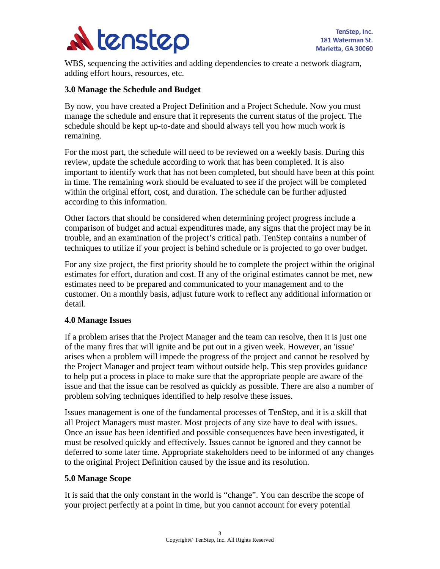

WBS, sequencing the activities and adding dependencies to create a network diagram, adding effort hours, resources, etc.

#### **3.0 Manage the Schedule and Budget**

By now, you have created a Project Definition and a Project Schedule**.** Now you must manage the schedule and ensure that it represents the current status of the project. The schedule should be kept up-to-date and should always tell you how much work is remaining.

For the most part, the schedule will need to be reviewed on a weekly basis. During this review, update the schedule according to work that has been completed. It is also important to identify work that has not been completed, but should have been at this point in time. The remaining work should be evaluated to see if the project will be completed within the original effort, cost, and duration. The schedule can be further adjusted according to this information.

Other factors that should be considered when determining project progress include a comparison of budget and actual expenditures made, any signs that the project may be in trouble, and an examination of the project's critical path. TenStep contains a number of techniques to utilize if your project is behind schedule or is projected to go over budget.

For any size project, the first priority should be to complete the project within the original estimates for effort, duration and cost. If any of the original estimates cannot be met, new estimates need to be prepared and communicated to your management and to the customer. On a monthly basis, adjust future work to reflect any additional information or detail.

#### **4.0 Manage Issues**

If a problem arises that the Project Manager and the team can resolve, then it is just one of the many fires that will ignite and be put out in a given week. However, an 'issue' arises when a problem will impede the progress of the project and cannot be resolved by the Project Manager and project team without outside help. This step provides guidance to help put a process in place to make sure that the appropriate people are aware of the issue and that the issue can be resolved as quickly as possible. There are also a number of problem solving techniques identified to help resolve these issues.

Issues management is one of the fundamental processes of TenStep, and it is a skill that all Project Managers must master. Most projects of any size have to deal with issues. Once an issue has been identified and possible consequences have been investigated, it must be resolved quickly and effectively. Issues cannot be ignored and they cannot be deferred to some later time. Appropriate stakeholders need to be informed of any changes to the original Project Definition caused by the issue and its resolution.

#### **5.0 Manage Scope**

It is said that the only constant in the world is "change". You can describe the scope of your project perfectly at a point in time, but you cannot account for every potential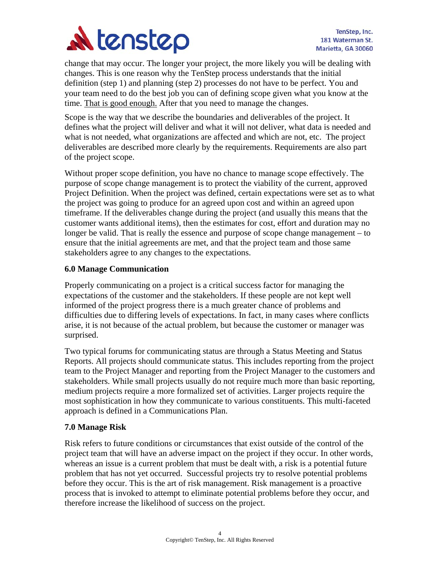

change that may occur. The longer your project, the more likely you will be dealing with changes. This is one reason why the TenStep process understands that the initial definition (step 1) and planning (step 2) processes do not have to be perfect. You and your team need to do the best job you can of defining scope given what you know at the time. That is good enough. After that you need to manage the changes.

Scope is the way that we describe the boundaries and deliverables of the project. It defines what the project will deliver and what it will not deliver, what data is needed and what is not needed, what organizations are affected and which are not, etc. The project deliverables are described more clearly by the requirements. Requirements are also part of the project scope.

Without proper scope definition, you have no chance to manage scope effectively. The purpose of scope change management is to protect the viability of the current, approved Project Definition. When the project was defined, certain expectations were set as to what the project was going to produce for an agreed upon cost and within an agreed upon timeframe. If the deliverables change during the project (and usually this means that the customer wants additional items), then the estimates for cost, effort and duration may no longer be valid. That is really the essence and purpose of scope change management – to ensure that the initial agreements are met, and that the project team and those same stakeholders agree to any changes to the expectations.

#### **6.0 Manage Communication**

Properly communicating on a project is a critical success factor for managing the expectations of the customer and the stakeholders. If these people are not kept well informed of the project progress there is a much greater chance of problems and difficulties due to differing levels of expectations. In fact, in many cases where conflicts arise, it is not because of the actual problem, but because the customer or manager was surprised.

Two typical forums for communicating status are through a Status Meeting and Status Reports. All projects should communicate status. This includes reporting from the project team to the Project Manager and reporting from the Project Manager to the customers and stakeholders. While small projects usually do not require much more than basic reporting, medium projects require a more formalized set of activities. Larger projects require the most sophistication in how they communicate to various constituents. This multi-faceted approach is defined in a Communications Plan.

# **7.0 Manage Risk**

Risk refers to future conditions or circumstances that exist outside of the control of the project team that will have an adverse impact on the project if they occur. In other words, whereas an issue is a current problem that must be dealt with, a risk is a potential future problem that has not yet occurred.Successful projects try to resolve potential problems before they occur. This is the art of risk management. Risk management is a proactive process that is invoked to attempt to eliminate potential problems before they occur, and therefore increase the likelihood of success on the project.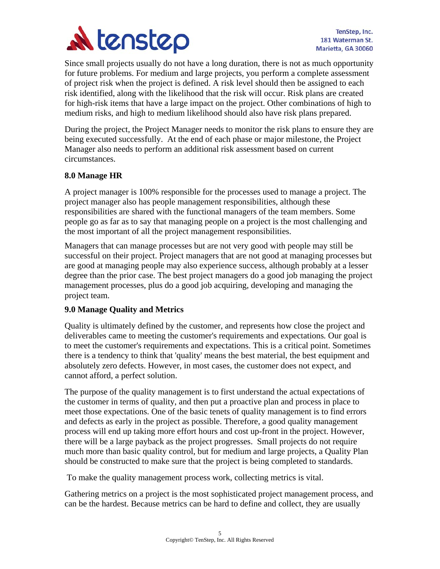

Since small projects usually do not have a long duration, there is not as much opportunity for future problems. For medium and large projects, you perform a complete assessment of project risk when the project is defined. A risk level should then be assigned to each risk identified, along with the likelihood that the risk will occur. Risk plans are created for high-risk items that have a large impact on the project. Other combinations of high to medium risks, and high to medium likelihood should also have risk plans prepared.

During the project, the Project Manager needs to monitor the risk plans to ensure they are being executed successfully. At the end of each phase or major milestone, the Project Manager also needs to perform an additional risk assessment based on current circumstances.

#### **8.0 Manage HR**

A project manager is 100% responsible for the processes used to manage a project. The project manager also has people management responsibilities, although these responsibilities are shared with the functional managers of the team members. Some people go as far as to say that managing people on a project is the most challenging and the most important of all the project management responsibilities.

Managers that can manage processes but are not very good with people may still be successful on their project. Project managers that are not good at managing processes but are good at managing people may also experience success, although probably at a lesser degree than the prior case. The best project managers do a good job managing the project management processes, plus do a good job acquiring, developing and managing the project team.

#### **9.0 Manage Quality and Metrics**

Quality is ultimately defined by the customer, and represents how close the project and deliverables came to meeting the customer's requirements and expectations*.* Our goal is to meet the customer's requirements and expectations. This is a critical point. Sometimes there is a tendency to think that 'quality' means the best material, the best equipment and absolutely zero defects. However, in most cases, the customer does not expect, and cannot afford, a perfect solution.

The purpose of the quality management is to first understand the actual expectations of the customer in terms of quality, and then put a proactive plan and process in place to meet those expectations. One of the basic tenets of quality management is to find errors and defects as early in the project as possible. Therefore, a good quality management process will end up taking more effort hours and cost up-front in the project. However, there will be a large payback as the project progresses. Small projects do not require much more than basic quality control, but for medium and large projects, a Quality Plan should be constructed to make sure that the project is being completed to standards.

To make the quality management process work, collecting metrics is vital.

Gathering metrics on a project is the most sophisticated project management process, and can be the hardest. Because metrics can be hard to define and collect, they are usually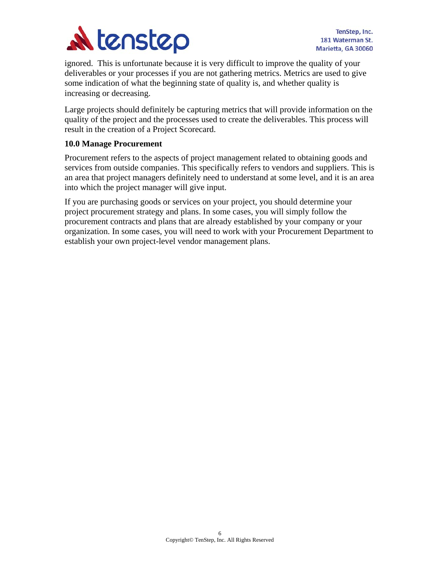

ignored. This is unfortunate because it is very difficult to improve the quality of your deliverables or your processes if you are not gathering metrics. Metrics are used to give some indication of what the beginning state of quality is, and whether quality is increasing or decreasing.

Large projects should definitely be capturing metrics that will provide information on the quality of the project and the processes used to create the deliverables. This process will result in the creation of a Project Scorecard.

# **10.0 Manage Procurement**

Procurement refers to the aspects of project management related to obtaining goods and services from outside companies. This specifically refers to vendors and suppliers. This is an area that project managers definitely need to understand at some level, and it is an area into which the project manager will give input.

If you are purchasing goods or services on your project, you should determine your project procurement strategy and plans. In some cases, you will simply follow the procurement contracts and plans that are already established by your company or your organization. In some cases, you will need to work with your Procurement Department to establish your own project-level vendor management plans.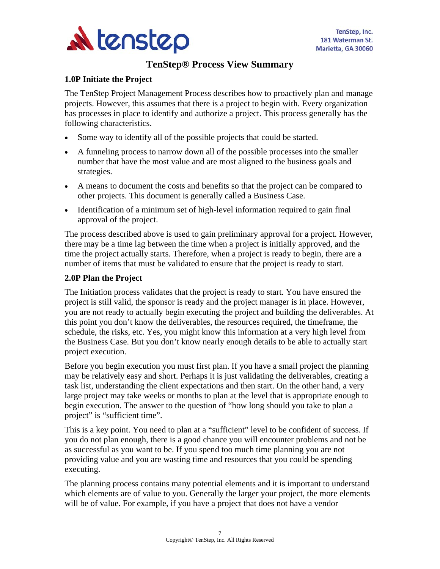

# **TenStep® Process View Summary**

#### **1.0P Initiate the Project**

The TenStep Project Management Process describes how to proactively plan and manage projects. However, this assumes that there is a project to begin with. Every organization has processes in place to identify and authorize a project. This process generally has the following characteristics.

- Some way to identify all of the possible projects that could be started.
- A funneling process to narrow down all of the possible processes into the smaller number that have the most value and are most aligned to the business goals and strategies.
- A means to document the costs and benefits so that the project can be compared to other projects. This document is generally called a Business Case.
- Identification of a minimum set of high-level information required to gain final approval of the project.

The process described above is used to gain preliminary approval for a project. However, there may be a time lag between the time when a project is initially approved, and the time the project actually starts. Therefore, when a project is ready to begin, there are a number of items that must be validated to ensure that the project is ready to start.

# **2.0P Plan the Project**

The Initiation process validates that the project is ready to start. You have ensured the project is still valid, the sponsor is ready and the project manager is in place. However, you are not ready to actually begin executing the project and building the deliverables. At this point you don't know the deliverables, the resources required, the timeframe, the schedule, the risks, etc. Yes, you might know this information at a very high level from the Business Case. But you don't know nearly enough details to be able to actually start project execution.

Before you begin execution you must first plan. If you have a small project the planning may be relatively easy and short. Perhaps it is just validating the deliverables, creating a task list, understanding the client expectations and then start. On the other hand, a very large project may take weeks or months to plan at the level that is appropriate enough to begin execution. The answer to the question of "how long should you take to plan a project" is "sufficient time".

This is a key point. You need to plan at a "sufficient" level to be confident of success. If you do not plan enough, there is a good chance you will encounter problems and not be as successful as you want to be. If you spend too much time planning you are not providing value and you are wasting time and resources that you could be spending executing.

The planning process contains many potential elements and it is important to understand which elements are of value to you. Generally the larger your project, the more elements will be of value. For example, if you have a project that does not have a vendor